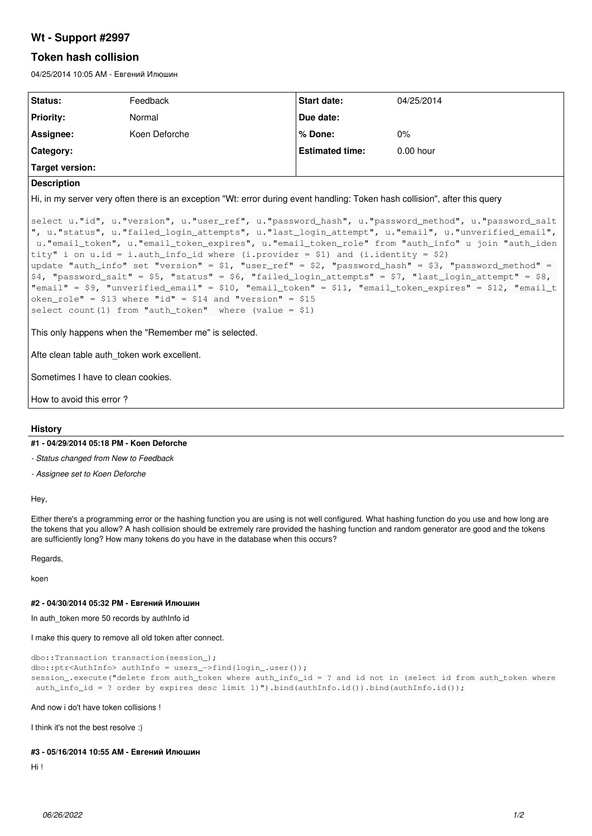## **Wt - Support #2997**

# **Token hash collision**

04/25/2014 10:05 AM - Евгений Илюшин

| Status:         | Feedback      | Start date:            | 04/25/2014  |
|-----------------|---------------|------------------------|-------------|
| Priority:       | Normal        | Due date:              |             |
| Assignee:       | Koen Deforche | ∣% Done:               | $0\%$       |
| Category:       |               | <b>Estimated time:</b> | $0.00$ hour |
| Target version: |               |                        |             |

#### **Description**

Hi, in my server very often there is an exception "Wt: error during event handling: Token hash collision", after this query

```
select u."id", u."version", u."user_ref", u."password_hash", u."password_method", u."password_salt
", u."status", u."failed_login_attempts", u."last_login_attempt", u."email", u."unverified_email",
 u."email_token", u."email_token_expires", u."email_token_role" from "auth_info" u join "auth_iden
tity" i on u.id = i.auth_info_id where (i.provider = $1) and (i.identity = $2)
update "auth_info" set "version" = $1, "user_ref" = $2, "password_hash" = $3, "password_method" = 
$4, "password_salt" = $5, "status" = $6, "failed_login_attempts" = $7, "last_login_attempt" = $8, 
"email" = $9, "unverified_email" = $10, "email_token" = $11, "email_token_expires" = $12, "email_t
oken_role" = $13 where "id" = $14 and "version" = $15select count (1) from "auth_token" where (value = $1)
```
This only happens when the "Remember me" is selected.

Afte clean table auth token work excellent.

Sometimes I have to clean cookies.

How to avoid this error ?

### **History**

#### **#1 - 04/29/2014 05:18 PM - Koen Deforche**

*- Status changed from New to Feedback*

*- Assignee set to Koen Deforche*

Hey,

Either there's a programming error or the hashing function you are using is not well configured. What hashing function do you use and how long are the tokens that you allow? A hash collision should be extremely rare provided the hashing function and random generator are good and the tokens are sufficiently long? How many tokens do you have in the database when this occurs?

Regards,

koen

## **#2 - 04/30/2014 05:32 PM - Евгений Илюшин**

In auth\_token more 50 records by authInfo id

I make this query to remove all old token after connect.

```
dbo::Transaction transaction(session_);
dbo::ptr<AuthInfo> authInfo = users_->find(login_.user());
session_.execute("delete from auth_token where auth_info_id = ? and id not in (select id from auth_token where
 auth_info_id = ? order by expires desc limit 1)").bind(authInfo.id()).bind(authInfo.id());
```
And now i do't have token collisions !

I think it's not the best resolve :)

#### **#3 - 05/16/2014 10:55 AM - Евгений Илюшин**

Hi !